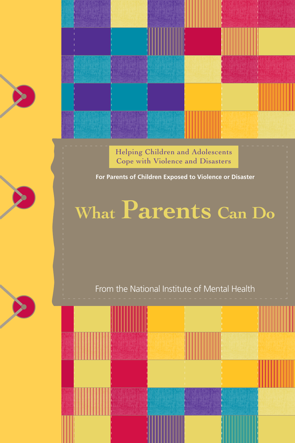

**For Parents of Children Exposed to Violence or Disaster**

# **What Parents Can Do**

From the National Institute of Mental Health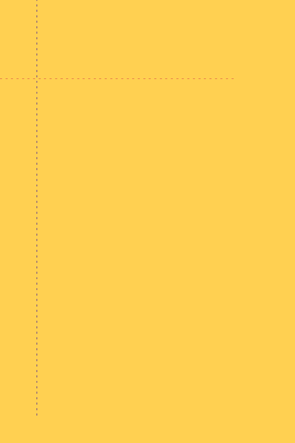÷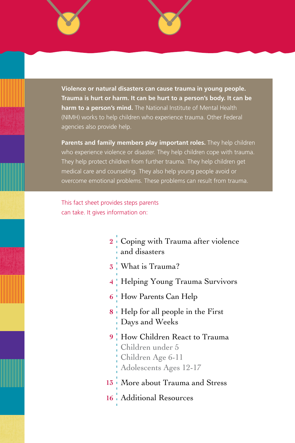**Violence or natural disasters can cause trauma in young people. Trauma is hurt or harm. It can be hurt to a person's body. It can be harm to a person's mind.** The National Institute of Mental Health (NIMH) works to help children who experience trauma. Other Federal agencies also provide help.

**Parents and family members play important roles.** They help children who experience violence or disaster. They help children cope with trauma. They help protect children from further trauma. They help children get medical care and counseling. They also help young people avoid or overcome emotional problems. These problems can result from trauma.

This fact sheet provides steps parents can take. It gives information on:

- 2 Coping with Trauma after violence and disasters
- What is Trauma?  **3**
- 4 Helping Young Trauma Survivors
- How Parents Can Help  **6**
- Help for all people in the First  **8** Days and Weeks
- **9** How Children React to Trauma Children under 5 Children Age 6-11 Adolescents Ages 12-17
- More about Trauma and Stress **13**
- Additional Resources **16**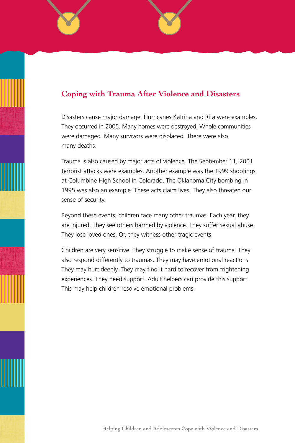# **Coping with Trauma After Violence and Disasters**

Disasters cause major damage. Hurricanes Katrina and Rita were examples. They occurred in 2005. Many homes were destroyed. Whole communities were damaged. Many survivors were displaced. There were also many deaths.

Trauma is also caused by major acts of violence. The September 11, 2001 terrorist attacks were examples. Another example was the 1999 shootings at Columbine High School in Colorado. The Oklahoma City bombing in 1995 was also an example. These acts claim lives. They also threaten our sense of security.

Beyond these events, children face many other traumas. Each year, they are injured. They see others harmed by violence. They suffer sexual abuse. They lose loved ones. Or, they witness other tragic events.

Children are very sensitive. They struggle to make sense of trauma. They also respond differently to traumas. They may have emotional reactions. They may hurt deeply. They may find it hard to recover from frightening experiences. They need support. Adult helpers can provide this support. This may help children resolve emotional problems.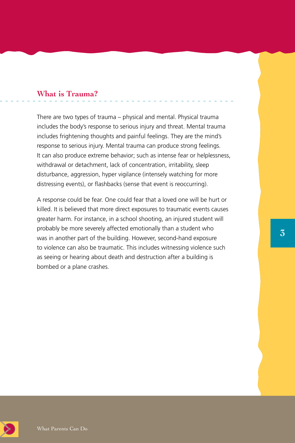# **What is Trauma?**

There are two types of trauma – physical and mental. Physical trauma includes the body's response to serious injury and threat. Mental trauma includes frightening thoughts and painful feelings. They are the mind's response to serious injury. Mental trauma can produce strong feelings. It can also produce extreme behavior; such as intense fear or helplessness, withdrawal or detachment, lack of concentration, irritability, sleep disturbance, aggression, hyper vigilance (intensely watching for more distressing events), or flashbacks (sense that event is reoccurring).

A response could be fear. One could fear that a loved one will be hurt or killed. It is believed that more direct exposures to traumatic events causes greater harm. For instance, in a school shooting, an injured student will probably be more severely affected emotionally than a student who was in another part of the building. However, second-hand exposure to violence can also be traumatic. This includes witnessing violence such as seeing or hearing about death and destruction after a building is bombed or a plane crashes.

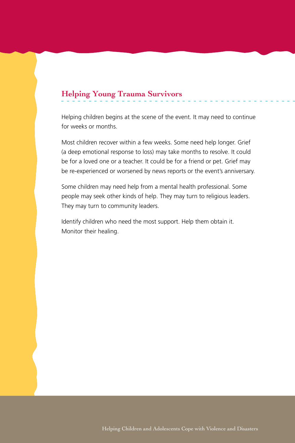# **Helping Young Trauma Survivors**

Helping children begins at the scene of the event. It may need to continue for weeks or months.

Most children recover within a few weeks. Some need help longer. Grief (a deep emotional response to loss) may take months to resolve. It could be for a loved one or a teacher. It could be for a friend or pet. Grief may be re-experienced or worsened by news reports or the event's anniversary.

Some children may need help from a mental health professional. Some people may seek other kinds of help. They may turn to religious leaders. They may turn to community leaders.

Identify children who need the most support. Help them obtain it. Monitor their healing.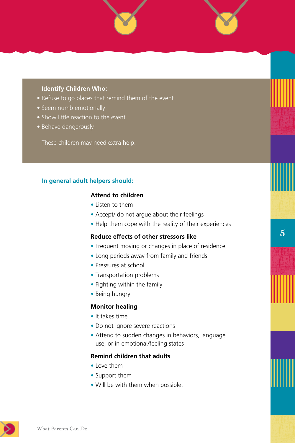#### **Identify Children Who:**

- Refuse to go places that remind them of the event
- Seem numb emotionally
- Show little reaction to the event
- Behave dangerously

These children may need extra help.

#### **In general adult helpers should:**

#### **Attend to children**

- Listen to them
- Accept/ do not argue about their feelings
- Help them cope with the reality of their experiences

#### **Reduce effects of other stressors like**

- Frequent moving or changes in place of residence
- Long periods away from family and friends
- Pressures at school



• Being hungry

# **Monitor healing** • It takes time

- Do not ignore severe reactions
- Attend to sudden changes in behaviors, language use, or in emotional/feeling states

#### **Remind children that adults**

- Love them
- Support them
- Will be with them when possible.







What Parents Can Do

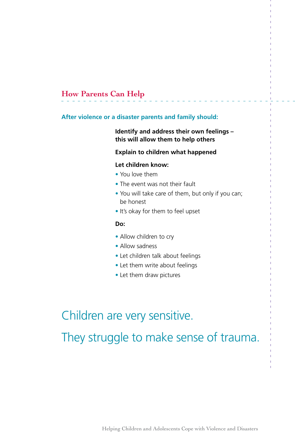# **How Parents Can Help**

#### **After violence or a disaster parents and family should:**

**Identify and address their own feelings – this will allow them to help others**

#### **Explain to children what happened**

#### **Let children know:**

- You love them
- The event was not their fault
- You will take care of them, but only if you can; be honest
- It's okay for them to feel upset

#### **Do:**

- Allow children to cry
- Allow sadness
- Let children talk about feelings
- Let them write about feelings
- Let them draw pictures

Children are very sensitive. They struggle to make sense of trauma.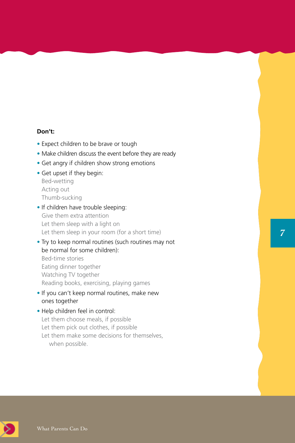#### **Don't:**

- Expect children to be brave or tough
- Make children discuss the event before they are ready
- Get angry if children show strong emotions
- Get upset if they begin: Bed-wetting Acting out Thumb-sucking
- If children have trouble sleeping: Give them extra attention Let them sleep with a light on Let them sleep in your room (for a short time)
- Try to keep normal routines (such routines may not be normal for some children): Bed-time stories Eating dinner together Watching TV together

ercisinc • If you can't keep normal routines, make new











What Parents Can Do



ad a cili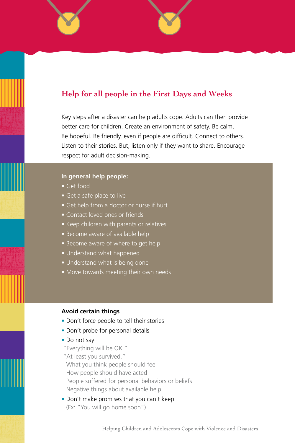# **Help for all people in the First Days and Weeks**

Key steps after a disaster can help adults cope. Adults can then provide better care for children. Create an environment of safety. Be calm. Be hopeful. Be friendly, even if people are difficult. Connect to others. Listen to their stories. But, listen only if they want to share. Encourage respect for adult decision-making.

#### **In general help people:**

- Get food
- Get a safe place to live
- Get help from a doctor or nurse if hurt
- Contact loved ones or friends
- Keep children with parents or relatives
- Become aware of available help
- Become aware of where to get help
- Understand what happened
- Understand what is being done
- Move towards meeting their own needs

#### **Avoid certain things**

- Don't force people to tell their stories
- Don't probe for personal details
- Do not say
- "Everything will be OK."
- "At least you survived."
- What you think people should feel How people should have acted People suffered for personal behaviors or beliefs Negative things about available help
- Don't make promises that you can't keep (Ex: "You will go home soon").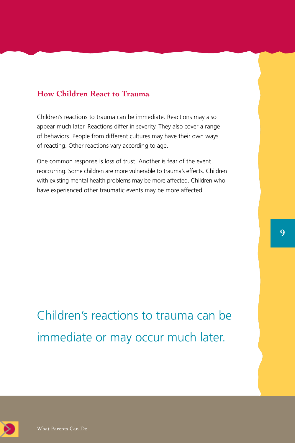# **How Children React to Trauma**

Children's reactions to trauma can be immediate. Reactions may also appear much later. Reactions differ in severity. They also cover a range of behaviors. People from different cultures may have their own ways of reacting. Other reactions vary according to age.

One common response is loss of trust. Another is fear of the event reoccurring. Some children are more vulnerable to trauma's effects. Children with existing mental health problems may be more affected. Children who have experienced other traumatic events may be more affected.

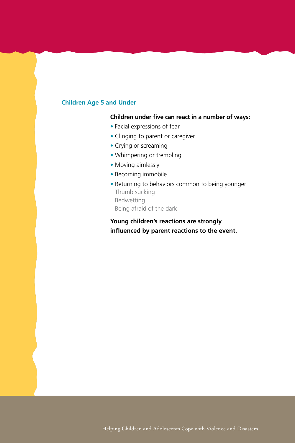#### **Children Age 5 and Under**

## **Children under five can react in a number of ways:**

- Facial expressions of fear
- Clinging to parent or caregiver
- Crying or screaming
- Whimpering or trembling
- Moving aimlessly
- Becoming immobile
- Returning to behaviors common to being younger Thumb sucking Bedwetting Being afraid of the dark

**Young children's reactions are strongly influenced by parent reactions to the event.**

Helping Children and Adolescents Cope with Violence and Disasters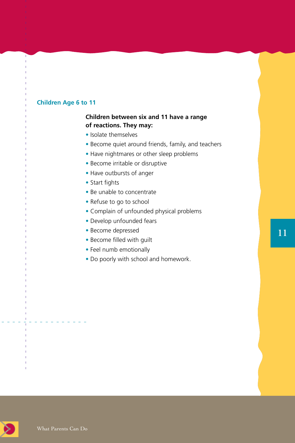#### **Children Age 6 to 11**

#### **Children between six and 11 have a range of reactions. They may:**

- Isolate themselves
- Become quiet around friends, family, and teachers
- Have nightmares or other sleep problems
- Become irritable or disruptive
- Have outbursts of anger
- Start fights
- Be unable to concentrate
- Refuse to go to school
- Complain of unfounded physical problems
- Develop unfounded fears
- Become depressed
- Become filled with guilt
- Feel numb emotionally
- Do poorly with school and homework.

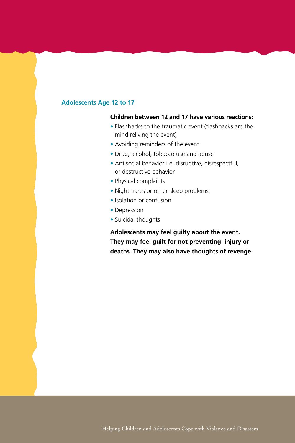#### **Adolescents Age 12 to 17**

#### **Children between 12 and 17 have various reactions:**

- Flashbacks to the traumatic event (flashbacks are the mind reliving the event)
- Avoiding reminders of the event
- Drug, alcohol, tobacco use and abuse
- Antisocial behavior i.e. disruptive, disrespectful, or destructive behavior
- Physical complaints
- Nightmares or other sleep problems
- Isolation or confusion
- Depression
- Suicidal thoughts

**Adolescents may feel guilty about the event. They may feel guilt for not preventing injury or deaths. They may also have thoughts of revenge.**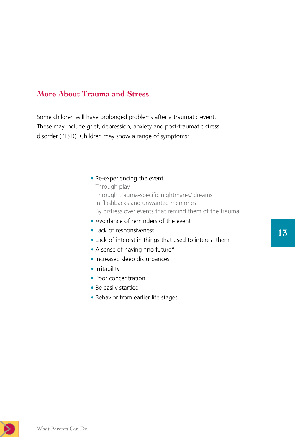## **More About Trauma and Stress**

Some children will have prolonged problems after a traumatic event. These may include grief, depression, anxiety and post-traumatic stress disorder (PTSD). Children may show a range of symptoms:

#### • Re-experiencing the event

Through play Through trauma-specific nightmares/ dreams In flashbacks and unwanted memories By distress over events that remind them of the trauma

• Avoidance of reminders of the event

- Lack of responsiveness
- Lack of interest in things that used to interest them
- A sense of having "no future"
- Increased sleep disturbances
- Irritability



• Behavior from earlier life stages.

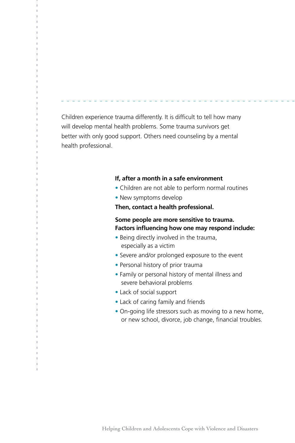Children experience trauma differently. It is difficult to tell how many will develop mental health problems. Some trauma survivors get better with only good support. Others need counseling by a mental health professional.

#### **If, after a month in a safe environment**

- Children are not able to perform normal routines
- New symptoms develop

**Then, contact a health professional.**

#### **Some people are more sensitive to trauma. Factors influencing how one may respond include:**

- Being directly involved in the trauma, especially as a victim
- Severe and/or prolonged exposure to the event
- Personal history of prior trauma
- Family or personal history of mental illness and severe behavioral problems
- Lack of social support
- Lack of caring family and friends
- On-going life stressors such as moving to a new home, or new school, divorce, job change, financial troubles.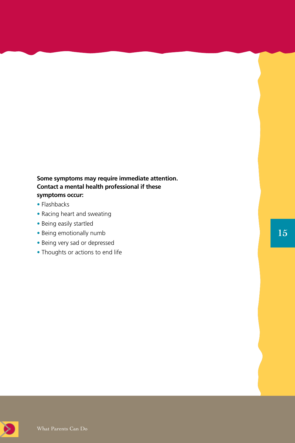# **Some symptoms may require immediate attention. Contact a mental health professional if these symptoms occur:**

- Flashbacks
- Racing heart and sweating
- Being easily startled
- Being emotionally numb
- Being very sad or depressed
- Thoughts or actions to end life

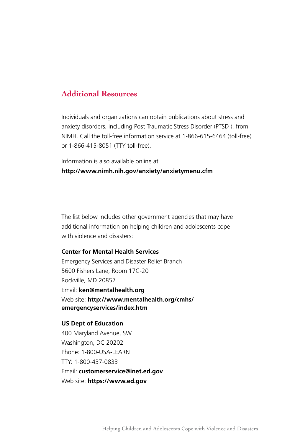# **Additional Resources**

Individuals and organizations can obtain publications about stress and anxiety disorders, including Post Traumatic Stress Disorder (PTSD ), from NIMH. Call the toll-free information service at 1-866-615-6464 (toll-free) or 1-866-415-8051 (TTY toll-free).

Information is also available online at **http://www.nimh.nih.gov/anxiety/anxietymenu.cfm**

The list below includes other government agencies that may have additional information on helping children and adolescents cope with violence and disasters:

#### **Center for Mental Health Services**

Emergency Services and Disaster Relief Branch 5600 Fishers Lane, Room 17C-20 Rockville, MD 20857 Email: **ken@mentalhealth.org** Web site: **http://www.mentalhealth.org/cmhs/ emergencyservices/index.htm**

#### **US Dept of Education**

400 Maryland Avenue, SW Washington, DC 20202 Phone: 1-800-USA-LEARN TTY: 1-800-437-0833 Email: **customerservice@inet.ed.gov** Web site: **https://www.ed.gov**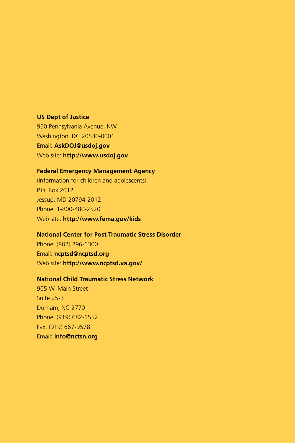#### **US Dept of Justice**

950 Pennsylvania Avenue, NW Washington, DC 20530-0001 Email: **AskDOJ@usdoj.gov** Web site: **http://www.usdoj.gov**

#### **Federal Emergency Management Agency**

(Information for children and adolescents) P.O. Box 2012 Jessup, MD 20794-2012 Phone: 1-800-480-2520 Web site: **http://www.fema.gov/kids**

#### **National Center for Post Traumatic Stress Disorder**

Phone: (802) 296-6300 Email: **ncptsd@ncptsd.org** Web site: **http://www.ncptsd.va.gov/**

#### **National Child Traumatic Stress Network**

905 W. Main Street Suite 25-B Durham, NC 27701 Phone: (919) 682-1552 Fax: (919) 667-9578 Email: **info@nctsn.org**